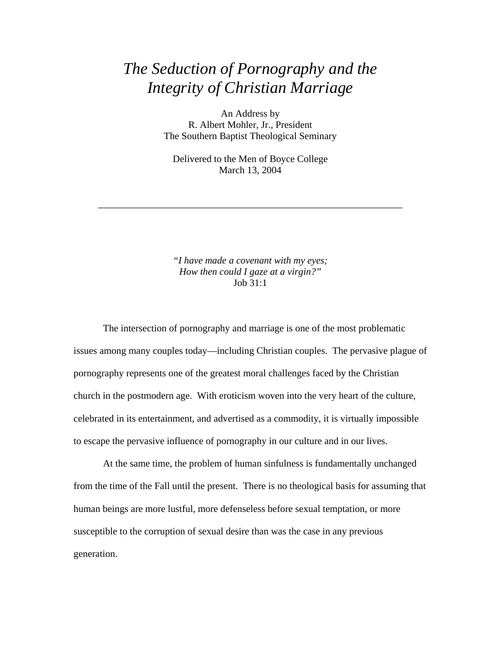## *The Seduction of Pornography and the Integrity of Christian Marriage*

An Address by R. Albert Mohler, Jr., President The Southern Baptist Theological Seminary

Delivered to the Men of Boyce College March 13, 2004

\_\_\_\_\_\_\_\_\_\_\_\_\_\_\_\_\_\_\_\_\_\_\_\_\_\_\_\_\_\_\_\_\_\_\_\_\_\_\_\_\_\_\_\_\_\_\_\_\_\_\_\_\_\_\_\_\_\_\_\_\_\_

*"I have made a covenant with my eyes; How then could I gaze at a virgin?"* Job 31:1

The intersection of pornography and marriage is one of the most problematic issues among many couples today—including Christian couples. The pervasive plague of pornography represents one of the greatest moral challenges faced by the Christian church in the postmodern age. With eroticism woven into the very heart of the culture, celebrated in its entertainment, and advertised as a commodity, it is virtually impossible to escape the pervasive influence of pornography in our culture and in our lives.

At the same time, the problem of human sinfulness is fundamentally unchanged from the time of the Fall until the present. There is no theological basis for assuming that human beings are more lustful, more defenseless before sexual temptation, or more susceptible to the corruption of sexual desire than was the case in any previous generation.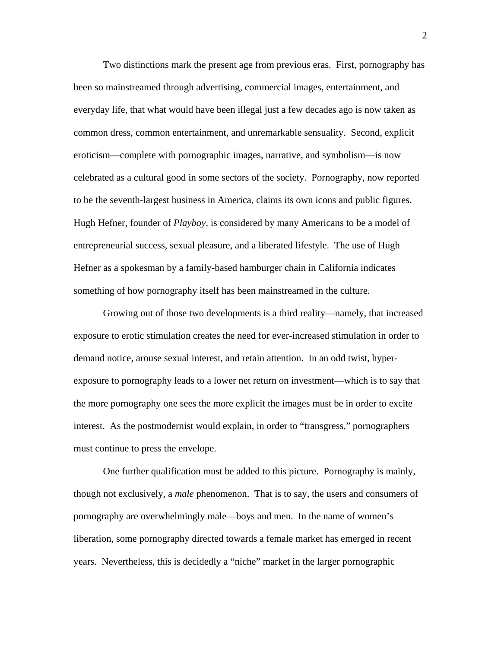Two distinctions mark the present age from previous eras. First, pornography has been so mainstreamed through advertising, commercial images, entertainment, and everyday life, that what would have been illegal just a few decades ago is now taken as common dress, common entertainment, and unremarkable sensuality. Second, explicit eroticism—complete with pornographic images, narrative, and symbolism—is now celebrated as a cultural good in some sectors of the society. Pornography, now reported to be the seventh-largest business in America, claims its own icons and public figures. Hugh Hefner, founder of *Playboy*, is considered by many Americans to be a model of entrepreneurial success, sexual pleasure, and a liberated lifestyle. The use of Hugh Hefner as a spokesman by a family-based hamburger chain in California indicates something of how pornography itself has been mainstreamed in the culture.

Growing out of those two developments is a third reality—namely, that increased exposure to erotic stimulation creates the need for ever-increased stimulation in order to demand notice, arouse sexual interest, and retain attention. In an odd twist, hyperexposure to pornography leads to a lower net return on investment—which is to say that the more pornography one sees the more explicit the images must be in order to excite interest. As the postmodernist would explain, in order to "transgress," pornographers must continue to press the envelope.

One further qualification must be added to this picture. Pornography is mainly, though not exclusively, a *male* phenomenon. That is to say, the users and consumers of pornography are overwhelmingly male—boys and men. In the name of women's liberation, some pornography directed towards a female market has emerged in recent years. Nevertheless, this is decidedly a "niche" market in the larger pornographic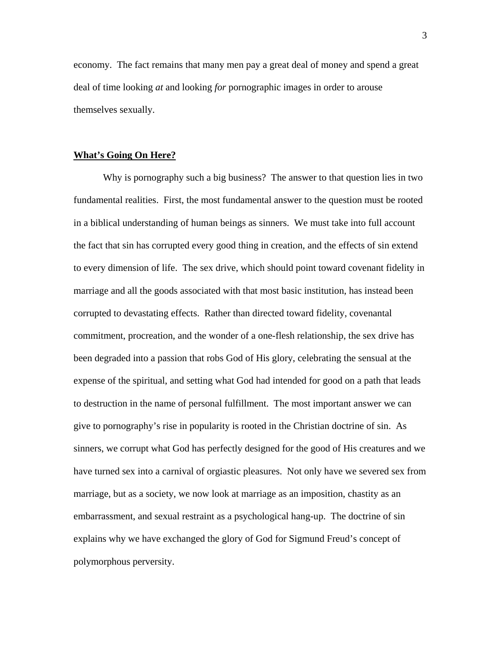economy. The fact remains that many men pay a great deal of money and spend a great deal of time looking *at* and looking *for* pornographic images in order to arouse themselves sexually.

## **What's Going On Here?**

Why is pornography such a big business? The answer to that question lies in two fundamental realities. First, the most fundamental answer to the question must be rooted in a biblical understanding of human beings as sinners. We must take into full account the fact that sin has corrupted every good thing in creation, and the effects of sin extend to every dimension of life. The sex drive, which should point toward covenant fidelity in marriage and all the goods associated with that most basic institution, has instead been corrupted to devastating effects. Rather than directed toward fidelity, covenantal commitment, procreation, and the wonder of a one-flesh relationship, the sex drive has been degraded into a passion that robs God of His glory, celebrating the sensual at the expense of the spiritual, and setting what God had intended for good on a path that leads to destruction in the name of personal fulfillment. The most important answer we can give to pornography's rise in popularity is rooted in the Christian doctrine of sin. As sinners, we corrupt what God has perfectly designed for the good of His creatures and we have turned sex into a carnival of orgiastic pleasures. Not only have we severed sex from marriage, but as a society, we now look at marriage as an imposition, chastity as an embarrassment, and sexual restraint as a psychological hang-up. The doctrine of sin explains why we have exchanged the glory of God for Sigmund Freud's concept of polymorphous perversity.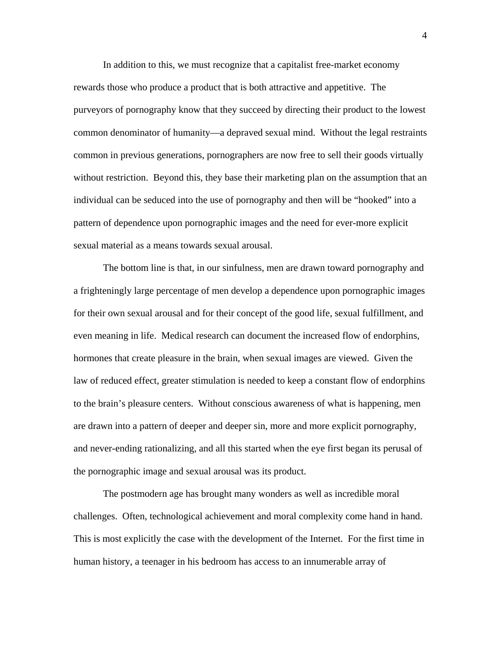In addition to this, we must recognize that a capitalist free-market economy rewards those who produce a product that is both attractive and appetitive. The purveyors of pornography know that they succeed by directing their product to the lowest common denominator of humanity—a depraved sexual mind. Without the legal restraints common in previous generations, pornographers are now free to sell their goods virtually without restriction. Beyond this, they base their marketing plan on the assumption that an individual can be seduced into the use of pornography and then will be "hooked" into a pattern of dependence upon pornographic images and the need for ever-more explicit sexual material as a means towards sexual arousal.

The bottom line is that, in our sinfulness, men are drawn toward pornography and a frighteningly large percentage of men develop a dependence upon pornographic images for their own sexual arousal and for their concept of the good life, sexual fulfillment, and even meaning in life. Medical research can document the increased flow of endorphins, hormones that create pleasure in the brain, when sexual images are viewed. Given the law of reduced effect, greater stimulation is needed to keep a constant flow of endorphins to the brain's pleasure centers. Without conscious awareness of what is happening, men are drawn into a pattern of deeper and deeper sin, more and more explicit pornography, and never-ending rationalizing, and all this started when the eye first began its perusal of the pornographic image and sexual arousal was its product.

The postmodern age has brought many wonders as well as incredible moral challenges. Often, technological achievement and moral complexity come hand in hand. This is most explicitly the case with the development of the Internet. For the first time in human history, a teenager in his bedroom has access to an innumerable array of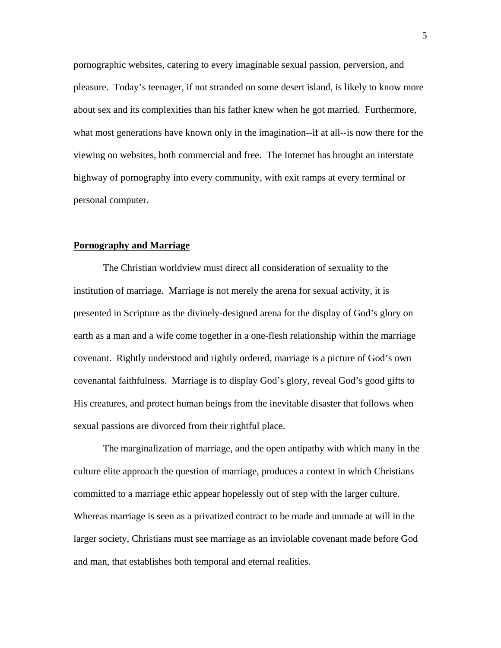pornographic websites, catering to every imaginable sexual passion, perversion, and pleasure. Today's teenager, if not stranded on some desert island, is likely to know more about sex and its complexities than his father knew when he got married. Furthermore, what most generations have known only in the imagination--if at all--is now there for the viewing on websites, both commercial and free. The Internet has brought an interstate highway of pornography into every community, with exit ramps at every terminal or personal computer.

## **Pornography and Marriage**

The Christian worldview must direct all consideration of sexuality to the institution of marriage. Marriage is not merely the arena for sexual activity, it is presented in Scripture as the divinely-designed arena for the display of God's glory on earth as a man and a wife come together in a one-flesh relationship within the marriage covenant. Rightly understood and rightly ordered, marriage is a picture of God's own covenantal faithfulness. Marriage is to display God's glory, reveal God's good gifts to His creatures, and protect human beings from the inevitable disaster that follows when sexual passions are divorced from their rightful place.

The marginalization of marriage, and the open antipathy with which many in the culture elite approach the question of marriage, produces a context in which Christians committed to a marriage ethic appear hopelessly out of step with the larger culture. Whereas marriage is seen as a privatized contract to be made and unmade at will in the larger society, Christians must see marriage as an inviolable covenant made before God and man, that establishes both temporal and eternal realities.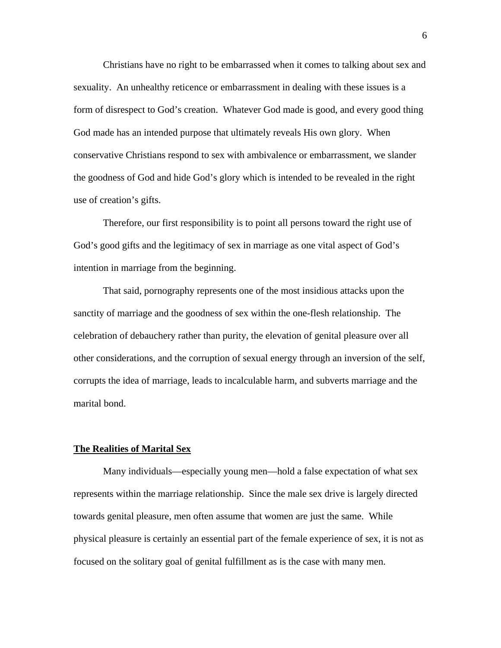Christians have no right to be embarrassed when it comes to talking about sex and sexuality. An unhealthy reticence or embarrassment in dealing with these issues is a form of disrespect to God's creation. Whatever God made is good, and every good thing God made has an intended purpose that ultimately reveals His own glory. When conservative Christians respond to sex with ambivalence or embarrassment, we slander the goodness of God and hide God's glory which is intended to be revealed in the right use of creation's gifts.

Therefore, our first responsibility is to point all persons toward the right use of God's good gifts and the legitimacy of sex in marriage as one vital aspect of God's intention in marriage from the beginning.

That said, pornography represents one of the most insidious attacks upon the sanctity of marriage and the goodness of sex within the one-flesh relationship. The celebration of debauchery rather than purity, the elevation of genital pleasure over all other considerations, and the corruption of sexual energy through an inversion of the self, corrupts the idea of marriage, leads to incalculable harm, and subverts marriage and the marital bond.

## **The Realities of Marital Sex**

Many individuals—especially young men—hold a false expectation of what sex represents within the marriage relationship. Since the male sex drive is largely directed towards genital pleasure, men often assume that women are just the same. While physical pleasure is certainly an essential part of the female experience of sex, it is not as focused on the solitary goal of genital fulfillment as is the case with many men.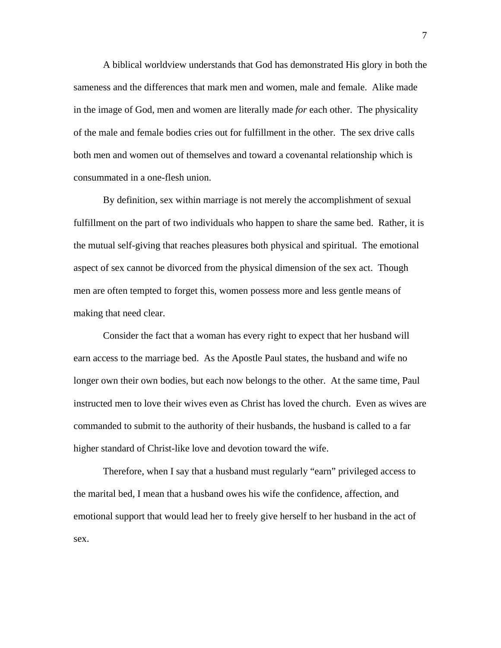A biblical worldview understands that God has demonstrated His glory in both the sameness and the differences that mark men and women, male and female. Alike made in the image of God, men and women are literally made *for* each other. The physicality of the male and female bodies cries out for fulfillment in the other. The sex drive calls both men and women out of themselves and toward a covenantal relationship which is consummated in a one-flesh union.

By definition, sex within marriage is not merely the accomplishment of sexual fulfillment on the part of two individuals who happen to share the same bed. Rather, it is the mutual self-giving that reaches pleasures both physical and spiritual. The emotional aspect of sex cannot be divorced from the physical dimension of the sex act. Though men are often tempted to forget this, women possess more and less gentle means of making that need clear.

Consider the fact that a woman has every right to expect that her husband will earn access to the marriage bed. As the Apostle Paul states, the husband and wife no longer own their own bodies, but each now belongs to the other. At the same time, Paul instructed men to love their wives even as Christ has loved the church. Even as wives are commanded to submit to the authority of their husbands, the husband is called to a far higher standard of Christ-like love and devotion toward the wife.

Therefore, when I say that a husband must regularly "earn" privileged access to the marital bed, I mean that a husband owes his wife the confidence, affection, and emotional support that would lead her to freely give herself to her husband in the act of sex.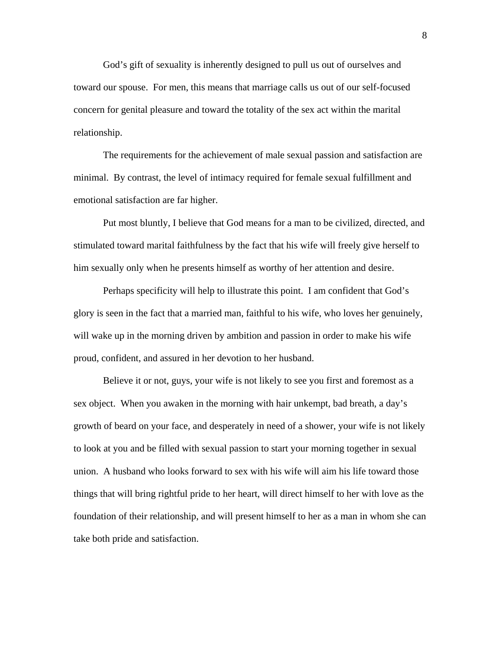God's gift of sexuality is inherently designed to pull us out of ourselves and toward our spouse. For men, this means that marriage calls us out of our self-focused concern for genital pleasure and toward the totality of the sex act within the marital relationship.

The requirements for the achievement of male sexual passion and satisfaction are minimal. By contrast, the level of intimacy required for female sexual fulfillment and emotional satisfaction are far higher.

Put most bluntly, I believe that God means for a man to be civilized, directed, and stimulated toward marital faithfulness by the fact that his wife will freely give herself to him sexually only when he presents himself as worthy of her attention and desire.

Perhaps specificity will help to illustrate this point. I am confident that God's glory is seen in the fact that a married man, faithful to his wife, who loves her genuinely, will wake up in the morning driven by ambition and passion in order to make his wife proud, confident, and assured in her devotion to her husband.

Believe it or not, guys, your wife is not likely to see you first and foremost as a sex object. When you awaken in the morning with hair unkempt, bad breath, a day's growth of beard on your face, and desperately in need of a shower, your wife is not likely to look at you and be filled with sexual passion to start your morning together in sexual union. A husband who looks forward to sex with his wife will aim his life toward those things that will bring rightful pride to her heart, will direct himself to her with love as the foundation of their relationship, and will present himself to her as a man in whom she can take both pride and satisfaction.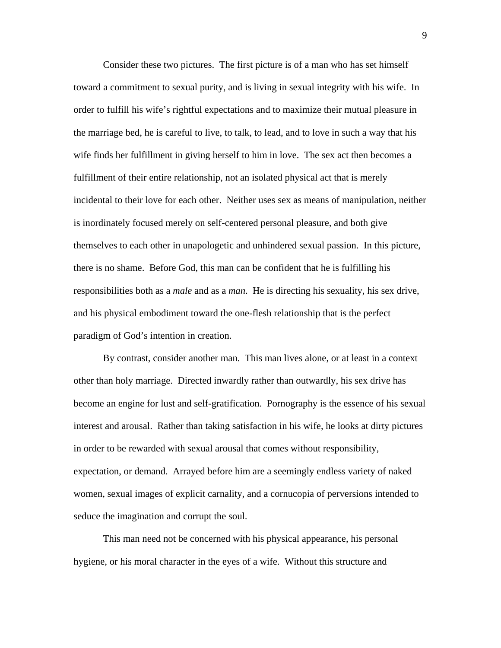Consider these two pictures. The first picture is of a man who has set himself toward a commitment to sexual purity, and is living in sexual integrity with his wife. In order to fulfill his wife's rightful expectations and to maximize their mutual pleasure in the marriage bed, he is careful to live, to talk, to lead, and to love in such a way that his wife finds her fulfillment in giving herself to him in love. The sex act then becomes a fulfillment of their entire relationship, not an isolated physical act that is merely incidental to their love for each other. Neither uses sex as means of manipulation, neither is inordinately focused merely on self-centered personal pleasure, and both give themselves to each other in unapologetic and unhindered sexual passion. In this picture, there is no shame. Before God, this man can be confident that he is fulfilling his responsibilities both as a *male* and as a *man*. He is directing his sexuality, his sex drive, and his physical embodiment toward the one-flesh relationship that is the perfect paradigm of God's intention in creation.

By contrast, consider another man. This man lives alone, or at least in a context other than holy marriage. Directed inwardly rather than outwardly, his sex drive has become an engine for lust and self-gratification. Pornography is the essence of his sexual interest and arousal. Rather than taking satisfaction in his wife, he looks at dirty pictures in order to be rewarded with sexual arousal that comes without responsibility, expectation, or demand. Arrayed before him are a seemingly endless variety of naked women, sexual images of explicit carnality, and a cornucopia of perversions intended to seduce the imagination and corrupt the soul.

This man need not be concerned with his physical appearance, his personal hygiene, or his moral character in the eyes of a wife. Without this structure and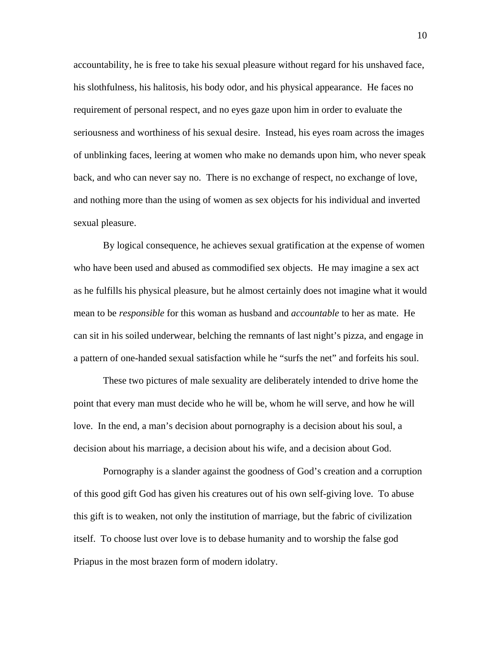accountability, he is free to take his sexual pleasure without regard for his unshaved face, his slothfulness, his halitosis, his body odor, and his physical appearance. He faces no requirement of personal respect, and no eyes gaze upon him in order to evaluate the seriousness and worthiness of his sexual desire. Instead, his eyes roam across the images of unblinking faces, leering at women who make no demands upon him, who never speak back, and who can never say no. There is no exchange of respect, no exchange of love, and nothing more than the using of women as sex objects for his individual and inverted sexual pleasure.

By logical consequence, he achieves sexual gratification at the expense of women who have been used and abused as commodified sex objects. He may imagine a sex act as he fulfills his physical pleasure, but he almost certainly does not imagine what it would mean to be *responsible* for this woman as husband and *accountable* to her as mate. He can sit in his soiled underwear, belching the remnants of last night's pizza, and engage in a pattern of one-handed sexual satisfaction while he "surfs the net" and forfeits his soul.

These two pictures of male sexuality are deliberately intended to drive home the point that every man must decide who he will be, whom he will serve, and how he will love. In the end, a man's decision about pornography is a decision about his soul, a decision about his marriage, a decision about his wife, and a decision about God.

Pornography is a slander against the goodness of God's creation and a corruption of this good gift God has given his creatures out of his own self-giving love. To abuse this gift is to weaken, not only the institution of marriage, but the fabric of civilization itself. To choose lust over love is to debase humanity and to worship the false god Priapus in the most brazen form of modern idolatry.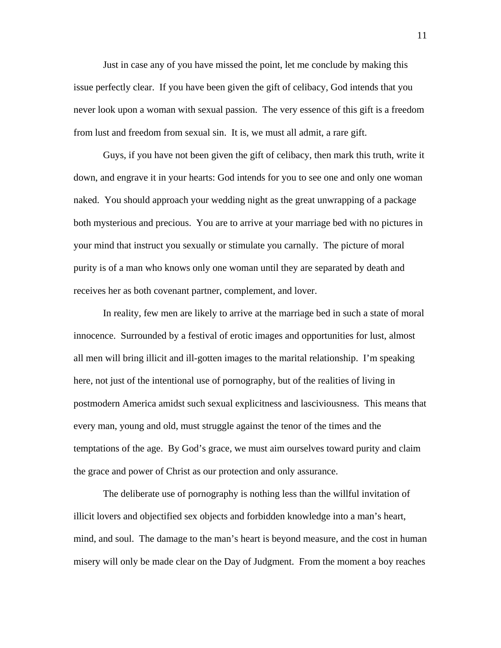Just in case any of you have missed the point, let me conclude by making this issue perfectly clear. If you have been given the gift of celibacy, God intends that you never look upon a woman with sexual passion. The very essence of this gift is a freedom from lust and freedom from sexual sin. It is, we must all admit, a rare gift.

Guys, if you have not been given the gift of celibacy, then mark this truth, write it down, and engrave it in your hearts: God intends for you to see one and only one woman naked. You should approach your wedding night as the great unwrapping of a package both mysterious and precious. You are to arrive at your marriage bed with no pictures in your mind that instruct you sexually or stimulate you carnally. The picture of moral purity is of a man who knows only one woman until they are separated by death and receives her as both covenant partner, complement, and lover.

In reality, few men are likely to arrive at the marriage bed in such a state of moral innocence. Surrounded by a festival of erotic images and opportunities for lust, almost all men will bring illicit and ill-gotten images to the marital relationship. I'm speaking here, not just of the intentional use of pornography, but of the realities of living in postmodern America amidst such sexual explicitness and lasciviousness. This means that every man, young and old, must struggle against the tenor of the times and the temptations of the age. By God's grace, we must aim ourselves toward purity and claim the grace and power of Christ as our protection and only assurance.

The deliberate use of pornography is nothing less than the willful invitation of illicit lovers and objectified sex objects and forbidden knowledge into a man's heart, mind, and soul. The damage to the man's heart is beyond measure, and the cost in human misery will only be made clear on the Day of Judgment. From the moment a boy reaches